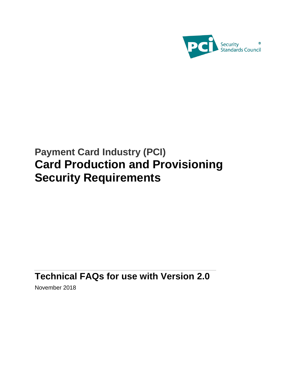

# **Payment Card Industry (PCI) Card Production and Provisioning Security Requirements**

# **Technical FAQs for use with Version 2.0**

November 2018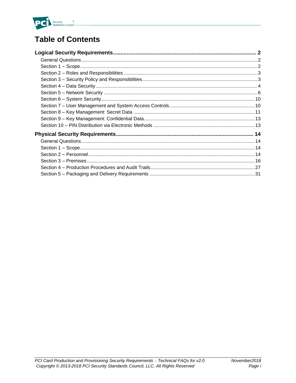

# **Table of Contents**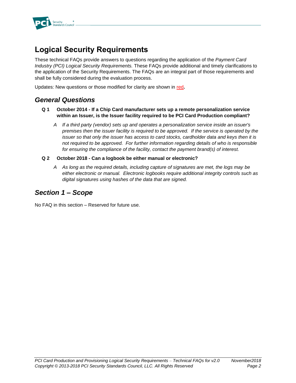

# **Logical Security Requirements**

These technical FAQs provide answers to questions regarding the application of the *Payment Card Industry (PCI) Logical Security Requirements.* These FAQs provide additional and timely clarifications to the application of the Security Requirements. The FAQs are an integral part of those requirements and shall be fully considered during the evaluation process.

Updates: New questions or those modified for clarity are shown in red**.**

# *General Questions*

- **Q 1 October 2014 - If a Chip Card manufacturer sets up a remote personalization service within an Issuer, is the Issuer facility required to be PCI Card Production compliant?**
	- *A If a third party (vendor) sets up and operates a personalization service inside an issuer's premises then the issuer facility is required to be approved. If the service is operated by the issuer so that only the issuer has access to card stocks, cardholder data and keys then it is not required to be approved. For further information regarding details of who is responsible for ensuring the compliance of the facility, contact the payment brand(s) of interest.*
- **Q 2 October 2018 - Can a logbook be either manual or electronic?**
	- *A As long as the required details, including capture of signatures are met, the logs may be either electronic or manual. Electronic logbooks require additional integrity controls such as digital signatures using hashes of the data that are signed.*

# *Section 1 – Scope*

No FAQ in this section – Reserved for future use.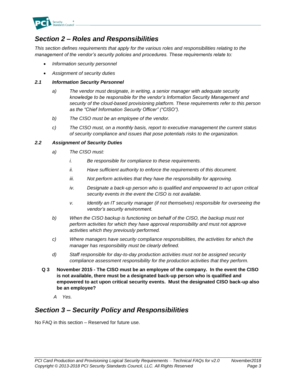

# *Section 2 – Roles and Responsibilities*

*This section defines requirements that apply for the various roles and responsibilities relating to the management of the vendor's security policies and procedures. These requirements relate to:*

- *Information security personnel*
- *Assignment of security duties*

#### *2.1 Information Security Personnel*

- *a) The vendor must designate, in writing, a senior manager with adequate security knowledge to be responsible for the vendor's Information Security Management and security of the cloud-based provisioning platform. These requirements refer to this person as the "Chief Information Security Officer" ("CISO").*
- *b) The CISO must be an employee of the vendor.*
- *c) The CISO must, on a monthly basis, report to executive management the current status of security compliance and issues that pose potentials risks to the organization.*

#### *2.2 Assignment of Security Duties*

- *a) The CISO must:*
	- *i. Be responsible for compliance to these requirements.*
	- *ii. Have sufficient authority to enforce the requirements of this document.*
	- *iii. Not perform activities that they have the responsibility for approving.*
	- *iv. Designate a back-up person who is qualified and empowered to act upon critical security events in the event the CISO is not available.*
	- *v. Identify an IT security manager (if not themselves) responsible for overseeing the vendor's security environment.*
- *b) When the CISO backup is functioning on behalf of the CISO, the backup must not perform activities for which they have approval responsibility and must not approve activities which they previously performed.*
- *c) Where managers have security compliance responsibilities, the activities for which the manager has responsibility must be clearly defined.*
- *d) Staff responsible for day-to-day production activities must not be assigned security compliance assessment responsibility for the production activities that they perform.*
- **Q 3 November 2015 - The CISO must be an employee of the company. In the event the CISO is not available, there must be a designated back-up person who is qualified and empowered to act upon critical security events. Must the designated CISO back-up also be an employee?**
	- *A Yes.*

# *Section 3 – Security Policy and Responsibilities*

No FAQ in this section – Reserved for future use.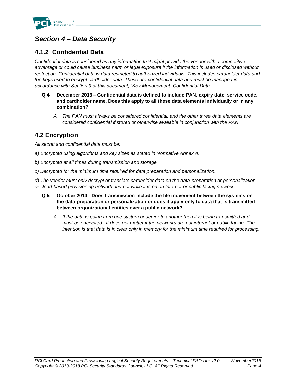

# *Section 4 – Data Security*

# **4.1.2 Confidential Data**

*Confidential data is considered as any information that might provide the vendor with a competitive advantage or could cause business harm or legal exposure if the information is used or disclosed without restriction. Confidential data is data restricted to authorized individuals. This includes cardholder data and the keys used to encrypt cardholder data. These are confidential data and must be managed in accordance with Section 9 of this document, "Key Management: Confidential Data."*

- **Q 4 December 2013 – Confidential data is defined to include PAN, expiry date, service code, and cardholder name. Does this apply to all these data elements individually or in any combination?**
	- *A The PAN must always be considered confidential, and the other three data elements are considered confidential if stored or otherwise available in conjunction with the PAN.*

# **4.2 Encryption**

*All secret and confidential data must be:* 

- *a) Encrypted using algorithms and key sizes as stated in Normative Annex A.*
- *b) Encrypted at all times during transmission and storage.*
- *c) Decrypted for the minimum time required for data preparation and personalization.*

*d) The vendor must only decrypt or translate cardholder data on the data-preparation or personalization or cloud-based provisioning network and not while it is on an Internet or public facing network.* 

- **Q 5 October 2014 - Does transmission include the file movement between the systems on the data-preparation or personalization or does it apply only to data that is transmitted between organizational entities over a public network?**
	- *A If the data is going from one system or server to another then it is being transmitted and must be encrypted. It does not matter if the networks are not internet or public facing. The intention is that data is in clear only in memory for the minimum time required for processing.*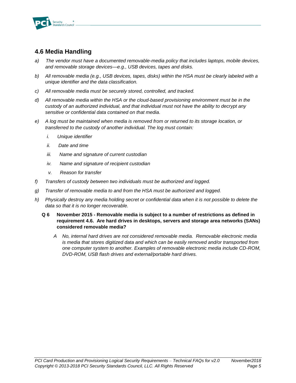

# **4.6 Media Handling**

- *a) The vendor must have a documented removable-media policy that includes laptops, mobile devices, and removable storage devices—e.g., USB devices, tapes and disks.*
- *b) All removable media (e.g., USB devices, tapes, disks) within the HSA must be clearly labeled with a unique identifier and the data classification.*
- *c) All removable media must be securely stored, controlled, and tracked.*
- *d) All removable media within the HSA or the cloud-based provisioning environment must be in the custody of an authorized individual, and that individual must not have the ability to decrypt any sensitive or confidential data contained on that media.*
- *e) A log must be maintained when media is removed from or returned to its storage location, or transferred to the custody of another individual. The log must contain:*
	- *i. Unique identifier*
	- *ii. Date and time*
	- *iii. Name and signature of current custodian*
	- *iv. Name and signature of recipient custodian*
	- *v. Reason for transfer*
- *f) Transfers of custody between two individuals must be authorized and logged.*
- *g) Transfer of removable media to and from the HSA must be authorized and logged.*
- *h) Physically destroy any media holding secret or confidential data when it is not possible to delete the data so that it is no longer recoverable.*
	- **Q 6 November 2015 - Removable media is subject to a number of restrictions as defined in requirement 4.6. Are hard drives in desktops, servers and storage area networks (SANs) considered removable media?**
		- *A No, internal hard drives are not considered removable media. Removable electronic media is media that stores digitized data and which can be easily removed and/or transported from one computer system to another. Examples of removable electronic media include CD-ROM, DVD-ROM, USB flash drives and external/portable hard drives.*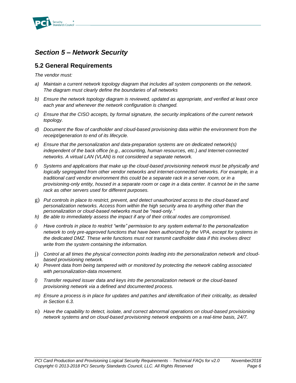

# *Section 5 – Network Security*

## **5.2 General Requirements**

*The vendor must:*

- *a) Maintain a current network topology diagram that includes all system components on the network. The diagram must clearly define the boundaries of all networks*
- *b) Ensure the network topology diagram is reviewed, updated as appropriate, and verified at least once each year and whenever the network configuration is changed.*
- *c) Ensure that the CISO accepts, by formal signature, the security implications of the current network topology.*
- *d) Document the flow of cardholder and cloud-based provisioning data within the environment from the receipt/generation to end of its lifecycle.*
- *e) Ensure that the personalization and data-preparation systems are on dedicated network(s) independent of the back office (e.g., accounting, human resources, etc.) and Internet-connected networks. A virtual LAN (VLAN) is not considered a separate network.*
- *f) Systems and applications that make up the cloud-based provisioning network must be physically and logically segregated from other vendor networks and internet-connected networks. For example, in a traditional card vendor environment this could be a separate rack in a server room, or in a provisioning-only entity, housed in a separate room or cage in a data center. It cannot be in the same rack as other servers used for different purposes.*
- g) *Put controls in place to restrict, prevent, and detect unauthorized access to the cloud-based and personalization networks. Access from within the high security area to anything other than the personalization or cloud-based networks must be "read-only."*
- *h) Be able to immediately assess the impact if any of their critical nodes are compromised.*
- *i) Have controls in place to restrict "write" permission to any system external to the personalization network to only pre-approved functions that have been authorized by the VPA, except for systems in the dedicated DMZ. These write functions must not transmit cardholder data if this involves direct write from the system containing the information.*
- j) *Control at all times the physical connection points leading into the personalization network and cloudbased provisioning network.*
- *k) Prevent data from being tampered with or monitored by protecting the network cabling associated with personalization-data movement.*
- *l) Transfer required issuer data and keys into the personalization network or the cloud-based provisioning network via a defined and documented process.*
- *m) Ensure a process is in place for updates and patches and identification of their criticality, as detailed in Section 6.3.*
- n) *Have the capability to detect, isolate, and correct abnormal operations on cloud-based provisioning network systems and on cloud-based provisioning network endpoints on a real-time basis, 24/7.*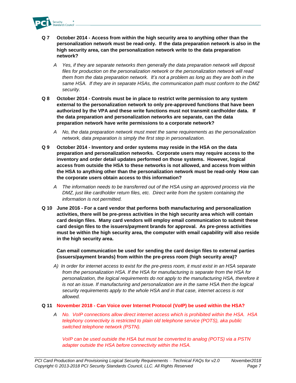

- **Q 7 October 2014 - Access from within the high security area to anything other than the personalization network must be read-only. If the data preparation network is also in the high security area, can the personalization network write to the data preparation network?** 
	- *A Yes, if they are separate networks then generally the data preparation network will deposit files for production on the personalization network or the personalization network will read them from the data preparation network. It's not a problem as long as they are both in the same HSA. If they are in separate HSAs, the communication path must conform to the DMZ security.*
- **Q 8 October 2014 - Controls must be in place to restrict write permission to any system external to the personalization network to only pre-approved functions that have been authorized by the VPA and these write functions must not transmit cardholder data. If the data preparation and personalization networks are separate, can the data preparation network have write permissions to a corporate network?** 
	- *A No, the data preparation network must meet the same requirements as the personalization network, data preparation is simply the first step in personalization.*
- **Q 9 October 2014 - Inventory and order systems may reside in the HSA on the data preparation and personalization networks. Corporate users may require access to the inventory and order detail updates performed on those systems. However, logical access from outside the HSA to these networks is not allowed, and access from within the HSA to anything other than the personalization network must be read-only How can the corporate users obtain access to this information?** 
	- *A The information needs to be transferred out of the HSA using an approved process via the DMZ, just like cardholder return files, etc. Direct write from the system containing the information is not permitted.*
- **Q 10 June 2016 - For a card vendor that performs both manufacturing and personalization activities, there will be pre-press activities in the high security area which will contain card design files. Many card vendors will employ email communication to submit these card design files to the issuers/payment brands for approval. As pre-press activities must be within the high security area, the computer with email capability will also reside in the high security area.**

**Can email communication be used for sending the card design files to external parties (issuers/payment brands) from within the pre-press room (high security area)?**

*A) In order for internet access to exist for the pre-press room, it must exist in an HSA separate from the personalization HSA. If the HSA for manufacturing is separate from the HSA for personalization, the logical requirements do not apply to the manufacturing HSA, therefore it is not an issue. If manufacturing and personalization are in the same HSA then the logical security requirements apply to the whole HSA and in that case, internet access is not allowed.* 

#### **Q 11 November 2018 - Can Voice over Internet Protocol (VoIP) be used within the HSA?**

*A No. VoIP connections allow direct internet access which is prohibited within the HSA. HSA telephony connectivity is restricted to plain old telephone service (POTS), aka public switched telephone network (PSTN).* 

*VoIP can be used outside the HSA but must be converted to analog (POTS) via a PSTN adapter outside the HSA before connectivity within the HSA.*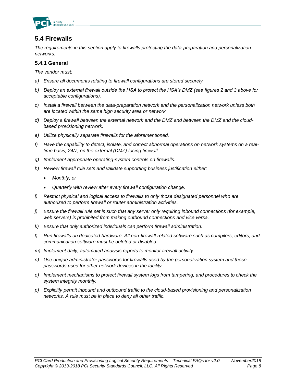

# **5.4 Firewalls**

*The requirements in this section apply to firewalls protecting the data-preparation and personalization networks.*

#### **5.4.1 General**

*The vendor must:*

- *a) Ensure all documents relating to firewall configurations are stored securely.*
- *b) Deploy an external firewall outside the HSA to protect the HSA's DMZ (see figures 2 and 3 above for acceptable configurations).*
- *c) Install a firewall between the data-preparation network and the personalization network unless both are located within the same high security area or network.*
- *d) Deploy a firewall between the external network and the DMZ and between the DMZ and the cloudbased provisioning network.*
- *e) Utilize physically separate firewalls for the aforementioned.*
- *f) Have the capability to detect, isolate, and correct abnormal operations on network systems on a realtime basis, 24/7, on the external (DMZ) facing firewall*
- *g) Implement appropriate operating-system controls on firewalls.*
- *h) Review firewall rule sets and validate supporting business justification either:*
	- *Monthly, or*
	- *Quarterly with review after every firewall configuration change.*
- *i) Restrict physical and logical access to firewalls to only those designated personnel who are authorized to perform firewall or router administration activities.*
- *j) Ensure the firewall rule set is such that any server only requiring inbound connections (for example, web servers) is prohibited from making outbound connections and vice versa.*
- *k) Ensure that only authorized individuals can perform firewall administration.*
- *l) Run firewalls on dedicated hardware. All non-firewall-related software such as compilers, editors, and communication software must be deleted or disabled.*
- *m) Implement daily, automated analysis reports to monitor firewall activity.*
- *n) Use unique administrator passwords for firewalls used by the personalization system and those passwords used for other network devices in the facility.*
- *o) Implement mechanisms to protect firewall system logs from tampering, and procedures to check the system integrity monthly.*
- *p) Explicitly permit inbound and outbound traffic to the cloud-based provisioning and personalization networks. A rule must be in place to deny all other traffic.*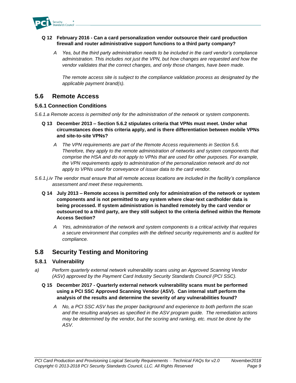

#### **Q 12 February 2016 - Can a card personalization vendor outsource their card production firewall and router administrative support functions to a third party company?**

*A Yes, but the third party administration needs to be included in the card vendor's compliance administration. This includes not just the VPN, but how changes are requested and how the vendor validates that the correct changes, and only those changes, have been made.*

*The remote access site is subject to the compliance validation process as designated by the applicable payment brand(s).*

#### **5.6 Remote Access**

#### **5.6.1 Connection Conditions**

*5.6.1.a Remote access is permitted only for the administration of the network or system components.* 

- **Q 13 December 2013 – Section 5.6.2 stipulates criteria that VPNs must meet. Under what circumstances does this criteria apply, and is there differentiation between mobile VPNs and site-to-site VPNs?**
	- *A The VPN requirements are part of the Remote Access requirements in Section 5.6. Therefore, they apply to the remote administration of networks and system components that comprise the HSA and do not apply to VPNs that are used for other purposes. For example, the VPN requirements apply to administration of the personalization network and do not apply to VPNs used for conveyance of issuer data to the card vendor.*
- *5.6.1.j.iv The vendor must ensure that all remote access locations are included in the facility's compliance assessment and meet these requirements.*
	- **Q 14 July 2013 – Remote access is permitted only for administration of the network or system components and is not permitted to any system where clear-text cardholder data is being processed. If system administration is handled remotely by the card vendor or outsourced to a third party, are they still subject to the criteria defined within the Remote Access Section?**
		- *A Yes, administration of the network and system components is a critical activity that requires a secure environment that complies with the defined security requirements and is audited for compliance.*

# **5.8 Security Testing and Monitoring**

#### **5.8.1 Vulnerability**

*a) Perform quarterly external network vulnerability scans using an Approved Scanning Vendor (ASV) approved by the Payment Card Industry Security Standards Council (PCI SSC).*

#### **Q 15 December 2017 - Quarterly external network vulnerability scans must be performed using a PCI SSC Approved Scanning Vendor (ASV). Can internal staff perform the analysis of the results and determine the severity of any vulnerabilities found?**

*A No, a PCI SSC ASV has the proper background and experience to both perform the scan and the resulting analyses as specified in the ASV program guide. The remediation actions may be determined by the vendor, but the scoring and ranking, etc. must be done by the ASV.*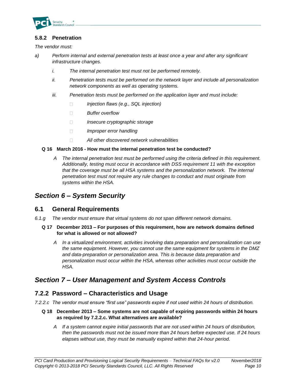

#### **5.8.2 Penetration**

*The vendor must:*

- *a) Perform internal and external penetration tests at least once a year and after any significant infrastructure changes.*
	- *i. The internal penetration test must not be performed remotely.*
	- *ii. Penetration tests must be performed on the network layer and include all personalization network components as well as operating systems.*
	- *iii. Penetration tests must be performed on the application layer and must include:*
		- *Injection flaws (e.g., SQL injection)*  $\Box$
		- *Buffer overflow*  $\Box$
		- $\Box$ *Insecure cryptographic storage*
		- $\Box$ *Improper error handling*
		- $\Box$ *All other discovered network vulnerabilities*

#### **Q 16 March 2016 - How must the internal penetration test be conducted?**

*A The internal penetration test must be performed using the criteria defined in this requirement. Additionally, testing must occur in accordance with DSS requirement 11 with the exception that the coverage must be all HSA systems and the personalization network. The internal penetration test must not require any rule changes to conduct and must originate from systems within the HSA.*

# *Section 6 – System Security*

#### **6.1 General Requirements**

- *6.1.g The vendor must ensure that virtual systems do not span different network domains.*
	- **Q 17 December 2013 – For purposes of this requirement, how are network domains defined for what is allowed or not allowed?**
		- *A In a virtualized environment, activities involving data preparation and personalization can use the same equipment. However, you cannot use the same equipment for systems in the DMZ and data-preparation or personalization area. This is because data preparation and personalization must occur within the HSA, whereas other activities must occur outside the HSA.*

# *Section 7 – User Management and System Access Controls*

#### **7.2.2 Password – Characteristics and Usage**

*7.2.2.c The vendor must ensure "first use" passwords expire if not used within 24 hours of distribution.*

#### **Q 18 December 2013 – Some systems are not capable of expiring passwords within 24 hours as required by 7.2.2.c. What alternatives are available?**

*A If a system cannot expire initial passwords that are not used within 24 hours of distribution, then the passwords must not be issued more than 24 hours before expected use. If 24 hours elapses without use, they must be manually expired within that 24-hour period.*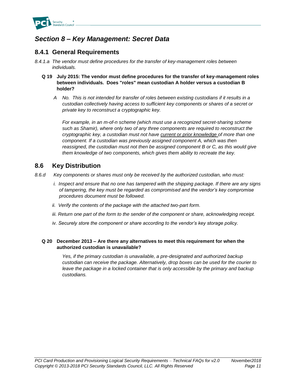

# *Section 8 – Key Management: Secret Data*

# **8.4.1 General Requirements**

- *8.4.1.a The vendor must define procedures for the transfer of key-management roles between individuals.*
	- **Q 19 July 2015: The vendor must define procedures for the transfer of key-management roles between individuals. Does "roles" mean custodian A holder versus a custodian B holder?** 
		- *A No. This is not intended for transfer of roles between existing custodians if it results in a custodian collectively having access to sufficient key components or shares of a secret or private key to reconstruct a cryptographic key.*

*For example, in an m-of-n scheme (which must use a recognized secret-sharing scheme such as Shamir), where only two of any three components are required to reconstruct the cryptographic key, a custodian must not have current or prior knowledge of more than one component. If a custodian was previously assigned component A, which was then reassigned, the custodian must not then be assigned component B or C, as this would give them knowledge of two components, which gives them ability to recreate the key.*

### **8.6 Key Distribution**

- *8.6.d Key components or shares must only be received by the authorized custodian, who must:*
	- *i. Inspect and ensure that no one has tampered with the shipping package. If there are any signs of tampering, the key must be regarded as compromised and the vendor's key compromise procedures document must be followed.*
	- *ii. Verify the contents of the package with the attached two-part form.*
	- *iii. Return one part of the form to the sender of the component or share, acknowledging receipt.*
	- *iv. Securely store the component or share according to the vendor's key storage policy.*

#### **Q 20 December 2013 – Are there any alternatives to meet this requirement for when the authorized custodian is unavailable?**

*Yes, if the primary custodian is unavailable, a pre-designated and authorized backup custodian can receive the package. Alternatively, drop boxes can be used for the courier to leave the package in a locked container that is only accessible by the primary and backup custodians.*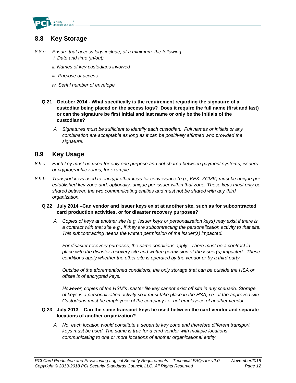

# **8.8 Key Storage**

- *8.8.e Ensure that access logs include, at a minimum, the following: i. Date and time (in/out)* 
	- *ii. Names of key custodians involved*
	- *iii. Purpose of access*
	- *iv. Serial number of envelope*
	- **Q 21 October 2014 - What specifically is the requirement regarding the signature of a custodian being placed on the access logs? Does it require the full name (first and last) or can the signature be first initial and last name or only be the initials of the custodians?**
		- *A Signatures must be sufficient to identify each custodian. Full names or initials or any combination are acceptable as long as it can be positively affirmed who provided the signature.*

### **8.9 Key Usage**

- *8.9.a Each key must be used for only one purpose and not shared between payment systems, issuers or cryptographic zones, for example:*
- *8.9.b Transport keys used to encrypt other keys for conveyance (e.g., KEK, ZCMK) must be unique per established key zone and, optionally, unique per issuer within that zone. These keys must only be shared between the two communicating entities and must not be shared with any third organization.*

#### **Q 22 July 2014 –Can vendor and issuer keys exist at another site, such as for subcontracted card production activities, or for disaster recovery purposes?**

*A Copies of keys at another site (e.g. Issuer keys or personalization keys) may exist if there is a contract with that site e.g., if they are subcontracting the personalization activity to that site. This subcontracting needs the written permission of the issuer(s) impacted.* 

*For disaster recovery purposes, the same conditions apply. There must be a contract in place with the disaster recovery site and written permission of the issuer(s) impacted. These conditions apply whether the other site is operated by the vendor or by a third party.* 

*Outside of the aforementioned conditions, the only storage that can be outside the HSA or offsite is of encrypted keys.*

*However, copies of the HSM's master file key cannot exist off site in any scenario. Storage of keys is a personalization activity so it must take place in the HSA, i.e. at the approved site. Custodians must be employees of the company i.e. not employees of another vendor.* 

#### **Q 23 July 2013 – Can the same transport keys be used between the card vendor and separate locations of another organization?**

*A No, each location would constitute a separate key zone and therefore different transport keys must be used. The same is true for a card vendor with multiple locations communicating to one or more locations of another organizational entity.*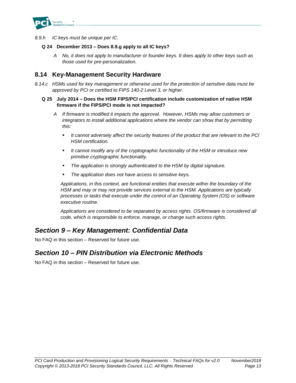

*8.9.h IC keys must be unique per IC.*

#### **Q 24 December 2013 – Does 8.9.g apply to all IC keys?**

*A No, it does not apply to manufacturer or founder keys. It does apply to other keys such as those used for pre-personalization.*

### **8.14 Key-Management Security Hardware**

*8.14.c HSMs used for key management or otherwise used for the protection of sensitive data must be approved by PCI or certified to FIPS 140-2 Level 3, or higher.*

#### **Q 25 July 2014 – Does the HSM FIPS/PCI certification include customization of native HSM firmware if the FIPS/PCI mode is not impacted?**

- *A If firmware is modified it impacts the approval. However, HSMs may allow customers or integrators to install additional applications where the vendor can show that by permitting this:*
	- *It cannot adversely affect the security features of the product that are relevant to the PCI HSM certification.*
	- It cannot modify any of the cryptographic functionality of the HSM or introduce new *primitive cryptographic functionality.*
	- The application is strongly authenticated to the HSM by digital signature.
	- The application does not have access to sensitive keys.

*Applications, in this context, are functional entities that execute within the boundary of the HSM and may or may not provide services external to the HSM. Applications are typically processes or tasks that execute under the control of an Operating System (OS) or software executive routine.* 

*Applications are considered to be separated by access rights. OS/firmware is considered all code, which is responsible to enforce, manage, or change such access rights.*

# *Section 9 – Key Management: Confidential Data*

No FAQ in this section – Reserved for future use.

# *Section 10 – PIN Distribution via Electronic Methods*

No FAQ in this section – Reserved for future use.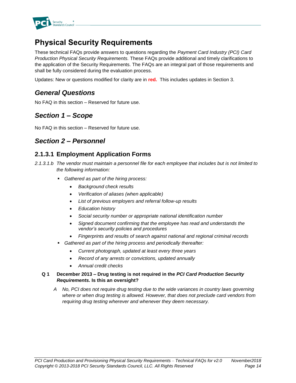

# **Physical Security Requirements**

These technical FAQs provide answers to questions regarding the *Payment Card Industry (PCI) Card Production Physical Security Requirements.* These FAQs provide additional and timely clarifications to the application of the Security Requirements. The FAQs are an integral part of those requirements and shall be fully considered during the evaluation process.

Updates: New or questions modified for clarity are in **red.** This includes updates in Section 3.

# *General Questions*

No FAQ in this section – Reserved for future use.

# *Section 1 – Scope*

No FAQ in this section – Reserved for future use.

# *Section 2 – Personnel*

# **2.1.3.1 Employment Application Forms**

- *2.1.3.1.b The vendor must maintain a personnel file for each employee that includes but is not limited to the following information:*
	- *Gathered as part of the hiring process:*
		- *Background check results*
		- *Verification of aliases (when applicable)*
		- *List of previous employers and referral follow-up results*
		- *Education history*
		- *Social security number or appropriate national identification number*
		- *Signed document confirming that the employee has read and understands the vendor's security policies and procedures*
		- *Fingerprints and results of search against national and regional criminal records*
	- Gathered as part of the hiring process and periodically thereafter:
		- *Current photograph, updated at least every three years*
		- *Record of any arrests or convictions, updated annually*
		- *Annual credit checks*

#### **Q 1 December 2013 – Drug testing is not required in the** *PCI Card Production Security Requirements.* **Is this an oversight?**

*A No, PCI does not require drug testing due to the wide variances in country laws governing where or when drug testing is allowed. However, that does not preclude card vendors from requiring drug testing wherever and whenever they deem necessary.*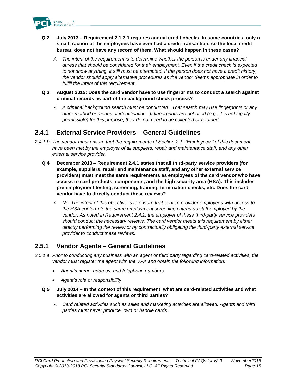

- **Q 2 July 2013 – Requirement 2.1.3.1 requires annual credit checks. In some countries, only a small fraction of the employees have ever had a credit transaction, so the local credit bureau does not have any record of them. What should happen in these cases?**
	- *A The intent of the requirement is to determine whether the person is under any financial duress that should be considered for their employment. Even if the credit check is expected to not show anything, it still must be attempted. If the person does not have a credit history, the vendor should apply alternative procedures as the vendor deems appropriate in order to fulfill the intent of this requirement.*
- **Q 3 August 2015: Does the card vendor have to use fingerprints to conduct a search against criminal records as part of the background check process?**
	- *A A criminal background search must be conducted. That search may use fingerprints or any other method or means of identification. If fingerprints are not used (e.g., it is not legally permissible) for this purpose, they do not need to be collected or retained.*

### **2.4.1 External Service Providers – General Guidelines**

- *2.4.1.b The vendor must ensure that the requirements of Section 2.1, "Employees," of this document have been met by the employer of all suppliers, repair and maintenance staff, and any other external service provider.*
	- **Q 4 December 2013 – Requirement 2.4.1 states that all third-party service providers (for example, suppliers, repair and maintenance staff, and any other external service providers) must meet the same requirements as employees of the card vendor who have access to card products, components, and the high security area (HSA). This includes pre-employment testing, screening, training, termination checks, etc. Does the card vendor have to directly conduct these reviews?**
		- *A No. The intent of this objective is to ensure that service provider employees with access to the HSA conform to the same employment screening criteria as staff employed by the vendor. As noted in Requirement 2.4.1, the employer of these third-party service providers should conduct the necessary reviews. The card vendor meets this requirement by either directly performing the review or by contractually obligating the third-party external service provider to conduct these reviews.*

### **2.5.1 Vendor Agents – General Guidelines**

- *2.5.1.a Prior to conducting any business with an agent or third party regarding card-related activities, the vendor must register the agent with the VPA and obtain the following information:*
	- *Agent's name, address, and telephone numbers*
	- *Agent's role or responsibility*
	- **Q 5 July 2014 – In the context of this requirement, what are card-related activities and what activities are allowed for agents or third parties?**
		- *A Card related activities such as sales and marketing activities are allowed. Agents and third parties must never produce, own or handle cards.*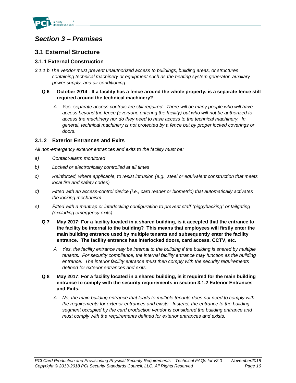

# *Section 3 – Premises*

# **3.1 External Structure**

#### **3.1.1 External Construction**

*3.1.1.b The vendor must prevent unauthorized access to buildings, building areas, or structures containing technical machinery or equipment such as the heating system generator, auxiliary power supply, and air conditioning.*

#### **Q 6 October 2014 - If a facility has a fence around the whole property, is a separate fence still required around the technical machinery?**

*A Yes, separate access controls are still required. There will be many people who will have access beyond the fence (everyone entering the facility) but who will not be authorized to access the machinery nor do they need to have access to the technical machinery. In general, technical machinery is not protected by a fence but by proper locked coverings or doors.*

#### **3.1.2 Exterior Entrances and Exits**

*All non-emergency exterior entrances and exits to the facility must be:*

- *a) Contact-alarm monitored*
- *b) Locked or electronically controlled at all times*
- *c) Reinforced, where applicable, to resist intrusion (e.g., steel or equivalent construction that meets local fire and safety codes)*
- *d) Fitted with an access-control device (i.e., card reader or biometric) that automatically activates the locking mechanism*
- *e) Fitted with a mantrap or interlocking configuration to prevent staff "piggybacking" or tailgating (excluding emergency exits)*
	- **Q 7 May 2017: For a facility located in a shared building, is it accepted that the entrance to the facility be internal to the building? This means that employees will firstly enter the main building entrance used by multiple tenants and subsequently enter the facility entrance. The facility entrance has interlocked doors, card access, CCTV, etc.**
		- *A Yes, the facility entrance may be internal to the building if the building is shared by multiple tenants. For security compliance, the internal facility entrance may function as the building entrance. The interior facility entrance must then comply with the security requirements defined for exterior entrances and exits.*
	- **Q 8 May 2017: For a facility located in a shared building, is it required for the main building entrance to comply with the security requirements in section 3.1.2 Exterior Entrances and Exits.**
		- *A No, the main building entrance that leads to multiple tenants does not need to comply with the requirements for exterior entrances and exists. Instead, the entrance to the building segment occupied by the card production vendor is considered the building entrance and must comply with the requirements defined for exterior entrances and exists.*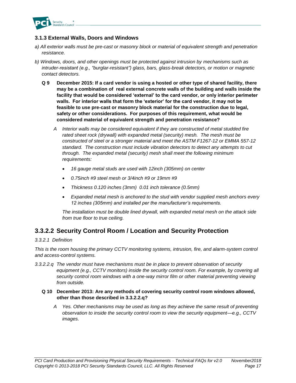

#### **3.1.3 External Walls, Doors and Windows**

- *a) All exterior walls must be pre-cast or masonry block or material of equivalent strength and penetration resistance.*
- *b) Windows, doors, and other openings must be protected against intrusion by mechanisms such as intruder-resistant (e.g., "burglar-resistant") glass, bars, glass-break detectors, or motion or magnetic contact detectors.*
	- **Q 9 December 2015: If a card vendor is using a hosted or other type of shared facility, there may be a combination of real external concrete walls of the building and walls inside the facility that would be considered 'external' to the card vendor, or only interior perimeter walls. For interior walls that form the 'exterior' for the card vendor, it may not be feasible to use pre-cast or masonry block material for the construction due to legal, safety or other considerations. For purposes of this requirement, what would be considered material of equivalent strength and penetration resistance?**
		- *A Interior walls may be considered equivalent if they are constructed of metal studded fire rated sheet rock (drywall) with expanded metal (security) mesh. The mesh must be constructed of steel or a stronger material and meet the ASTM F1267-12 or EMMA 557-12 standard. The construction must include vibration detectors to detect any attempts to cut through. The expanded metal (security) mesh shall meet the following minimum requirements:*
			- *16 gauge metal studs are used with 12inch (305mm) on center*
			- *0.75inch #9 steel mesh or 3/4inch #9 or 19mm #9*
			- *Thickness 0.120 inches (3mm) 0.01 inch tolerance (0.5mm)*
			- *Expanded metal mesh is anchored to the stud with vendor supplied mesh anchors every 12 inches (305mm) and installed per the manufacturer's requirements.*

*The installation must be double lined drywall, with expanded metal mesh on the attack side from true floor to true ceiling.* 

# **3.3.2.2 Security Control Room / Location and Security Protection**

#### *3.3.2.1 Definition*

*This is the room housing the primary CCTV monitoring systems, intrusion, fire, and alarm-system control and access-control systems.*

*3.3.2.2.q The vendor must have mechanisms must be in place to prevent observation of security equipment (e.g., CCTV monitors) inside the security control room. For example, by covering all security control room windows with a one-way mirror film or other material preventing viewing from outside.*

#### **Q 10 December 2013: Are any methods of covering security control room windows allowed, other than those described in 3.3.2.2.q?**

*A Yes. Other mechanisms may be used as long as they achieve the same result of preventing observation to inside the security control room to view the security equipment—e.g., CCTV images.*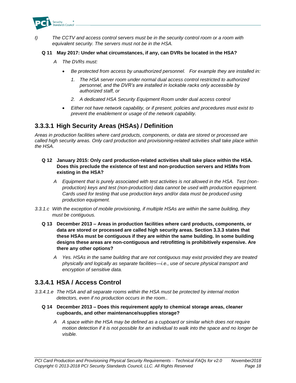

*t) The CCTV and access control servers must be in the security control room or a room with equivalent security. The servers must not be in the HSA.*

#### **Q 11 May 2017: Under what circumstances, if any, can DVRs be located in the HSA?**

- *A The DVRs must:*
	- *Be protected from access by unauthorized personnel. For example they are installed in:*
		- *1. The HSA server room under normal dual access control restricted to authorized personnel, and the DVR's are installed in lockable racks only accessible by authorized staff, or*
		- *2. A dedicated HSA Security Equipment Room under dual access control*
	- *Either not have network capability, or if present, policies and procedures must exist to prevent the enablement or usage of the network capability.*

### **3.3.3.1 High Security Areas (HSAs) / Definition**

*Areas in production facilities where card products, components, or data are stored or processed are called high security areas. Only card production and provisioning-related activities shall take place within the HSA.*

- **Q 12 January 2015: Only card production-related activities shall take place within the HSA. Does this preclude the existence of test and non-production servers and HSMs from existing in the HSA?**
	- *A Equipment that is purely associated with test activities is not allowed in the HSA. Test (nonproduction) keys and test (non-production) data cannot be used with production equipment. Cards used for testing that use production keys and/or data must be produced using production equipment.*
- *3.3.1.c With the exception of mobile provisioning, if multiple HSAs are within the same building, they must be contiguous.*
	- **Q 13 December 2013 – Areas in production facilities where card products, components, or data are stored or processed are called high security areas. Section 3.3.3 states that these HSAs must be contiguous if they are within the same building. In some building designs these areas are non-contiguous and retrofitting is prohibitively expensive. Are there any other options?**
		- *A Yes. HSAs in the same building that are not contiguous may exist provided they are treated physically and logically as separate facilities—i.e., use of secure physical transport and encryption of sensitive data.*

# **3.3.4.1 HSA / Access Control**

- *3.3.4.1.e The HSA and all separate rooms within the HSA must be protected by internal motion detectors, even if no production occurs in the room..*
	- **Q 14 December 2013 – Does this requirement apply to chemical storage areas, cleaner cupboards, and other maintenance/supplies storage?**
		- *A A space within the HSA may be defined as a cupboard or similar which does not require motion detection if it is not possible for an individual to walk into the space and no longer be visible.*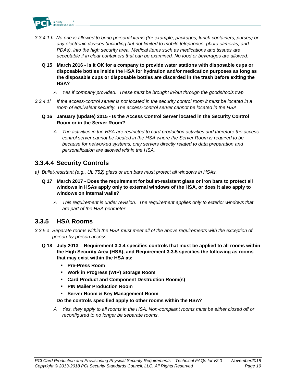

- *3.3.4.1.h No one is allowed to bring personal items (for example, packages, lunch containers, purses) or any electronic devices (including but not limited to mobile telephones, photo cameras, and PDAs), into the high security area. Medical items such as medications and tissues are acceptable if in clear containers that can be examined. No food or beverages are allowed.*
	- **Q 15 March 2016 - Is it OK for a company to provide water stations with disposable cups or disposable bottles inside the HSA for hydration and/or medication purposes as long as the disposable cups or disposable bottles are discarded in the trash before exiting the HSA?**
		- *A Yes if company provided. These must be brought in/out through the goods/tools trap*
- *3.3.4.1i If the access-control server is not located in the security control room it must be located in a room of equivalent security. The access-control server cannot be located in the HSA*
	- **Q 16 January (update) 2015 - Is the Access Control Server located in the Security Control Room or in the Server Room?**
		- *A The activities in the HSA are restricted to card production activities and therefore the access control server cannot be located in the HSA where the Server Room is required to be because for networked systems, only servers directly related to data preparation and personalization are allowed within the HSA.*

### **3.3.4.4 Security Controls**

- *a) Bullet-resistant (e.g., UL 752) glass or iron bars must protect all windows in HSAs.*
	- **Q 17 March 2017 - Does the requirement for bullet-resistant glass or iron bars to protect all windows in HSAs apply only to external windows of the HSA, or does it also apply to windows on internal walls?**
		- *A This requirement is under revision. The requirement applies only to exterior windows that are part of the HSA perimeter.*

### **3.3.5 HSA Rooms**

- *3.3.5.a Separate rooms within the HSA must meet all of the above requirements with the exception of person-by-person access.*
	- **Q 18 July 2013 – Requirement 3.3.4 specifies controls that must be applied to all rooms within the High Security Area (HSA), and Requirement 3.3.5 specifies the following as rooms that may exist within the HSA as:**
		- **Pre-Press Room**
		- **Work in Progress (WIP) Storage Room**
		- **Card Product and Component Destruction Room(s)**
		- **PIN Mailer Production Room**
		- **Server Room & Key Management Room**

#### **Do the controls specified apply to other rooms within the HSA?**

*A Yes, they apply to all rooms in the HSA. Non-compliant rooms must be either closed off or reconfigured to no longer be separate rooms.*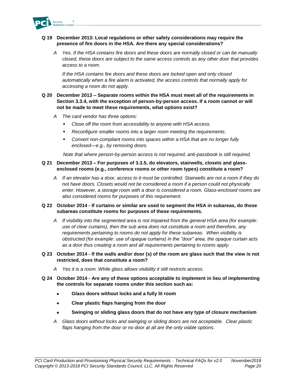

#### **Q 19 December 2013: Local regulations or other safety considerations may require the presence of fire doors in the HSA. Are there any special considerations?**

*A Yes. If the HSA contains fire doors and these doors are normally closed or can be manually closed, these doors are subject to the same access controls as any other door that provides access to a room.*

*If the HSA contains fire doors and these doors are locked open and only closed automatically when a fire alarm is activated, the access controls that normally apply for accessing a room do not apply.*

#### **Q 20 December 2013 – Separate rooms within the HSA must meet all of the requirements in Section 3.3.4, with the exception of person-by-person access. If a room cannot or will not be made to meet these requirements, what options exist?**

- *A The card vendor has three options:*
	- Close off the room from accessibility to anyone with HSA access.
	- Reconfigure smaller rooms into a larger room meeting the requirements.
	- *Convert non-compliant rooms into spaces within a HSA that are no longer fully enclosed—e.g., by removing doors.*

*Note that where person-by-person access is not required, anti-passbook is still required.*

#### **Q 21 December 2013 – For purposes of 3.3.5, do elevators, stairwells, closets and glassenclosed rooms (e.g., conference rooms or other room types) constitute a room?**

*A If an elevator has a door, access to it must be controlled. Stairwells are not a room if they do not have doors. Closets would not be considered a room if a person could not physically enter. However, a storage room with a door is considered a room. Glass-enclosed rooms are also considered rooms for purposes of this requirement.*

#### **Q 22 October 2014 - If curtains or similar are used to segment the HSA in subareas, do those subareas constitute rooms for purposes of these requirements.**

- *A If visibility into the segmented area is not impaired from the general HSA area (for example: use of clear curtains), then the sub area does not constitute a room and therefore, any requirements pertaining to rooms do not apply for these subareas. When visibility is obstructed (for example: use of opaque curtains) in the "door" area, the opaque curtain acts as a door thus creating a room and all requirements pertaining to rooms apply.*
- **Q 23 October 2014 - If the walls and/or door (s) of the room are glass such that the view is not restricted, does that constitute a room?**
	- *A Yes it is a room. While glass allows visibility it still restricts access.*
- **Q 24 October 2014 - Are any of these options acceptable to implement in lieu of implementing the controls for separate rooms under this section such as:**
	- **Glass doors without locks and a fully lit room**
	- **Clear plastic flaps hanging from the door**
	- **Swinging or sliding glass doors that do not have any type of closure mechanism**
	- *A Glass doors without locks and swinging or sliding doors are not acceptable. Clear plastic flaps hanging from the door or no door at all are the only viable options.*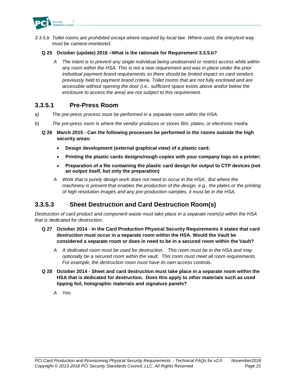

*3.3.5.b Toilet rooms are prohibited except where required by local law. Where used, the entry/exit way must be camera-monitored.*

#### **Q 25 October (update) 2016 –What is the rationale for Requirement 3.3.5.b?**

*A The intent is to prevent any single individual being unobserved or restrict access while within any room within the HSA. This is not a new requirement and was in place under the prior individual payment brand requirements so there should be limited impact on card vendors previously held to payment brand criteria. Toilet rooms that are not fully enclosed and are accessible without opening the door (i.e., sufficient space exists above and/or below the enclosure to access the area) are not subject to this requirement.*

#### **3.3.5.1 Pre-Press Room**

- *a) The pre-press process must be performed in a separate room within the HSA.*
- *b) The pre-press room is where the vendor produces or stores film, plates, or electronic media.*
	- **Q 26 March 2015 - Can the following processes be performed in the rooms outside the high security areas:**
		- **Design development (external graphical view) of a plastic card;**
		- **Printing the plastic cards designs/rough copies with your company logo on a printer;**
		- **Preparation of a file containing the plastic card design for output to CTP devices (not an output itself, but only the preparation)**
		- *A Work that is purely design work does not need to occur in the HSA. But where the machinery is present that enables the production of the design, e.g., the plates or the printing of high resolution images and any pre-production samples, it must be in the HSA.*

# **3.3.5.3 Sheet Destruction and Card Destruction Room(s)**

*Destruction of card product and component waste must take place in a separate room(s) within the HSA that is dedicated for destruction.*

- **Q 27 October 2014 - In the Card Production Physical Security Requirements it states that card destruction must occur in a separate room within the HSA. Would the Vault be considered a separate room or does in need to be in a secured room within the Vault?** 
	- *A A dedicated room must be used for destruction. This room must be in the HSA and may optionally be a secured room within the vault. This room must meet all room requirements. For example, the destruction room must have its own access controls.*
- **Q 28 October 2014 - Sheet and card destruction must take place in a separate room within the HSA that is dedicated for destruction. Does this apply to other materials such as used tipping foil, holographic materials and signature panels?**
	- *A Yes.*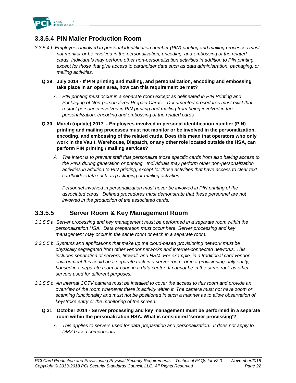

# **3.3.5.4 PIN Mailer Production Room**

- *3.3.5.4 b Employees involved in personal identification number (PIN) printing and mailing processes must not monitor or be involved in the personalization, encoding, and embossing of the related cards. Individuals may perform other non-personalization activities in addition to PIN printing, except for those that give access to cardholder data such as data administration, packaging, or mailing activities.*
	- **Q 29 July 2014 - If PIN printing and mailing, and personalization, encoding and embossing take place in an open area, how can this requirement be met?** 
		- *A PIN printing must occur in a separate room except as delineated in PIN Printing and Packaging of Non-personalized Prepaid Cards. Documented procedures must exist that restrict personnel involved in PIN printing and mailing from being involved in the personalization, encoding and embossing of the related cards.*
	- **Q 30 March (update) 2017 - Employees involved in personal identification number (PIN) printing and mailing processes must not monitor or be involved in the personalization, encoding, and embossing of the related cards. Does this mean that operators who only work in the Vault, Warehouse, Dispatch, or any other role located outside the HSA, can perform PIN printing / mailing services?** 
		- *A The intent is to prevent staff that personalize those specific cards from also having access to the PINs during generation or printing. Individuals may perform other non-personalization activities in addition to PIN printing, except for those activities that have access to clear text cardholder data such as packaging or mailing activities.*

*Personnel involved in personalization must never be involved in PIN printing of the associated cards. Defined procedures must demonstrate that these personnel are not involved in the production of the associated cards.*

# **3.3.5.5 Server Room & Key Management Room**

- *3.3.5.5.a Server processing and key management must be performed in a separate room within the personalization HSA. Data preparation must occur here. Server processing and key management may occur in the same room or each in a separate room.*
- *3.3.5.5.b Systems and applications that make up the cloud-based provisioning network must be physically segregated from other vendor networks and internet-connected networks. This includes separation of servers, firewall, and HSM. For example, in a traditional card vendor environment this could be a separate rack in a server room, or in a provisioning-only entity, housed in a separate room or cage in a data center. It cannot be in the same rack as other servers used for different purposes.*
- *3.3.5.5.c An internal CCTV camera must be installed to cover the access to this room and provide an overview of the room whenever there is activity within it. The camera must not have zoom or*  scanning functionality and must not be positioned in such a manner as to allow observation of *keystroke entry or the monitoring of the screen.*
	- **Q 31 October 2014 - Server processing and key management must be performed in a separate room within the personalization HSA. What is considered 'server processing'?** 
		- *A This applies to servers used for data preparation and personalization. It does not apply to DMZ based components.*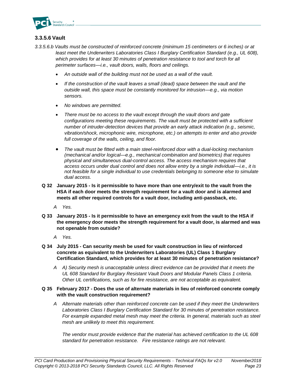

#### **3.3.5.6 Vault**

- *3.3.5.6.b Vaults must be constructed of reinforced concrete (minimum 15 centimeters or 6 inches) or at least meet the Underwriters Laboratories Class I Burglary Certification Standard (e.g., UL 608),*  which provides for at least 30 minutes of penetration resistance to tool and torch for all *perimeter surfaces—i.e., vault doors, walls, floors and ceilings.* 
	- *An outside wall of the building must not be used as a wall of the vault.*
	- *If the construction of the vault leaves a small (dead) space between the vault and the outside wall, this space must be constantly monitored for intrusion—e.g., via motion sensors.*
	- *No windows are permitted.*
	- *There must be no access to the vault except through the vault doors and gate configurations meeting these requirements. The vault must be protected with a sufficient number of intruder-detection devices that provide an early attack indication (e.g., seismic, vibration/shock, microphonic wire, microphone, etc.) on attempts to enter and also provide full coverage of the walls, ceiling, and floor.*
	- *The vault must be fitted with a main steel-reinforced door with a dual-locking mechanism (mechanical and/or logical—e.g., mechanical combination and biometrics) that requires physical and simultaneous dual-control access. The access mechanism requires that access occurs under dual control and does not allow entry by a single individual—i.e., it is not feasible for a single individual to use credentials belonging to someone else to simulate dual access.*
	- **Q 32 January 2015 - Is it permissible to have more than one entry/exit to the vault from the HSA if each door meets the strength requirement for a vault door and is alarmed and meets all other required controls for a vault door, including anti-passback, etc.**
		- *A Yes.*
	- **Q 33 January 2015 - Is it permissible to have an emergency exit from the vault to the HSA if the emergency door meets the strength requirement for a vault door, is alarmed and was not openable from outside?**
		- *A Yes.*
	- **Q 34 July 2015 - Can security mesh be used for vault construction in lieu of reinforced concrete as equivalent to the Underwriters Laboratories (UL) Class 1 Burglary Certification Standard, which provides for at least 30 minutes of penetration resistance?**
		- *A A) Security mesh is unacceptable unless direct evidence can be provided that it meets the UL 608 Standard for Burglary Resistant Vault Doors and Modular Panels Class 1 criteria. Other UL certifications, such as for fire resistance, are not acceptable as equivalent.*
	- **Q 35 February 2017 - Does the use of alternate materials in lieu of reinforced concrete comply with the vault construction requirement?**
		- *A Alternate materials other than reinforced concrete can be used if they meet the Underwriters Laboratories Class I Burglary Certification Standard for 30 minutes of penetration resistance. For example expanded metal mesh may meet the criteria. In general, materials such as steel mesh are unlikely to meet this requirement.*

*The vendor must provide evidence that the material has achieved certification to the UL 608 standard for penetration resistance. Fire resistance ratings are not relevant.*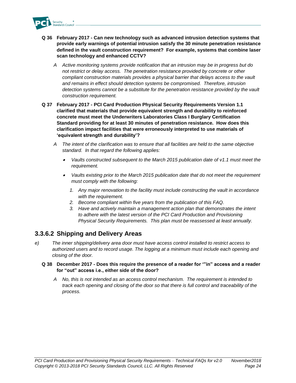

- **Q 36 February 2017 - Can new technology such as advanced intrusion detection systems that provide early warnings of potential intrusion satisfy the 30 minute penetration resistance defined in the vault construction requirement? For example, systems that combine laser scan technology and enhanced CCTV?**
	- *A Active monitoring systems provide notification that an intrusion may be in progress but do not restrict or delay access. The penetration resistance provided by concrete or other compliant construction materials provides a physical barrier that delays access to the vault and remains in effect should detection systems be compromised. Therefore, intrusion detection systems cannot be a substitute for the penetration resistance provided by the vault construction requirement.*
- **Q 37 February 2017 - PCI Card Production Physical Security Requirements Version 1.1 clarified that materials that provide equivalent strength and durability to reinforced concrete must meet the Underwriters Laboratories Class I Burglary Certification Standard providing for at least 30 minutes of penetration resistance. How does this clarification impact facilities that were erroneously interpreted to use materials of 'equivalent strength and durability'?** 
	- *A The intent of the clarification was to ensure that all facilities are held to the same objective standard. In that regard the following applies:*
		- • *Vaults constructed subsequent to the March 2015 publication date of v1.1 must meet the requirement.*
		- *Vaults existing prior to the March 2015 publication date that do not meet the requirement must comply with the following:*
			- *1. Any major renovation to the facility must include constructing the vault in accordance with the requirement.*
			- *2. Become compliant within five years from the publication of this FAQ.*
			- *3. Have and actively maintain a management action plan that demonstrates the intent to adhere with the latest version of the PCI Card Production and Provisioning Physical Security Requirements. This plan must be reassessed at least annually.*

# **3.3.6.2 Shipping and Delivery Areas**

- *e) The inner shipping/delivery area door must have access control installed to restrict access to authorized users and to record usage. The logging at a minimum must include each opening and closing of the door.*
	- **Q 38 December 2017 - Does this require the presence of a reader for '"in" access and a reader for "out" access i.e., either side of the door?**
		- *A No, this is not intended as an access control mechanism. The requirement is intended to track each opening and closing of the door so that there is full control and traceability of the process.*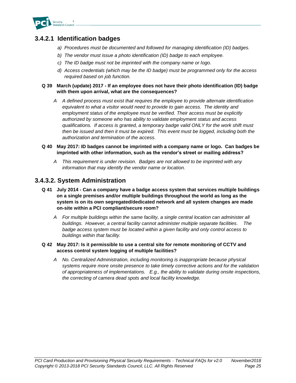

# **3.4.2.1 Identification badges**

- *a) Procedures must be documented and followed for managing identification (ID) badges.*
- *b) The vendor must issue a photo identification (ID) badge to each employee.*
- *c) The ID badge must not be imprinted with the company name or logo.*
- *d) Access credentials (which may be the ID badge) must be programmed only for the access required based on job function.*

#### **Q 39 March (update) 2017 - If an employee does not have their photo identification (ID) badge with them upon arrival, what are the consequences?**

*A A defined process must exist that requires the employee to provide alternate identification equivalent to what a visitor would need to provide to gain access. The identity and employment status of the employee must be verified. Their access must be explicitly authorized by someone who has ability to validate employment status and access qualifications. If access is granted, a temporary badge valid ONLY for the work shift must then be issued and then it must be expired. This event must be logged, including both the authorization and termination of the access.*

#### **Q 40 May 2017: ID badges cannot be imprinted with a company name or logo. Can badges be imprinted with other information, such as the vendor's street or mailing address?**

*A This requirement is under revision. Badges are not allowed to be imprinted with any information that may identify the vendor name or location.*

### **3.4.3.2. System Administration**

- **Q 41 July 2014 - Can a company have a badge access system that services multiple buildings on a single premises and/or multiple buildings throughout the world as long as the system is on its own segregated/dedicated network and all system changes are made on-site within a PCI compliant/secure room?**
	- *A For multiple buildings within the same facility, a single central location can administer all buildings. However, a central facility cannot administer multiple separate facilities. The badge access system must be located within a given facility and only control access to buildings within that facility.*

#### **Q 42 May 2017: Is it permissible to use a central site for remote monitoring of CCTV and access control system logging of multiple facilities?**

*A No. Centralized Administration, including monitoring is inappropriate because physical systems require more onsite presence to take timely corrective actions and for the validation of appropriateness of implementations. E.g., the ability to validate during onsite inspections, the correcting of camera dead spots and local facility knowledge.*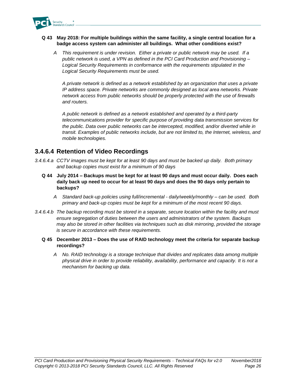

#### **Q 43 May 2018: For multiple buildings within the same facility, a single central location for a badge access system can administer all buildings. What other conditions exist?**

*A This requirement is under revision. Either a private or public network may be used. If a public network is used, a VPN as defined in the PCI Card Production and Provisioning – Logical Security Requirements in conformance with the requirements stipulated in the Logical Security Requirements must be used.* 

*A private network is defined as a network established by an organization that uses a private IP address space. Private networks are commonly designed as local area networks. Private network access from public networks should be properly protected with the use of firewalls and routers.* 

*A public network is defined as a network established and operated by a third-party telecommunications provider for specific purpose of providing data transmission services for the public. Data over public networks can be intercepted, modified, and/or diverted while in transit. Examples of public networks include, but are not limited to, the Internet, wireless, and mobile technologies.*

## **3.4.6.4 Retention of Video Recordings**

- *3.4.6.4.a CCTV images must be kept for at least 90 days and must be backed up daily. Both primary and backup copies must exist for a minimum of 90 days*
	- **Q 44 July 2014 – Backups must be kept for at least 90 days and must occur daily. Does each daily back up need to occur for at least 90 days and does the 90 days only pertain to backups?**
		- *A Standard back-up policies using full/incremental - daily/weekly/monthly – can be used. Both primary and back-up copies must be kept for a minimum of the most recent 90 days.*
- *3.4.6.4.b The backup recording must be stored in a separate, secure location within the facility and must ensure segregation of duties between the users and administrators of the system. Backups may also be stored in other facilities via techniques such as disk mirroring, provided the storage is secure in accordance with these requirements.*
	- **Q 45 December 2013 – Does the use of RAID technology meet the criteria for separate backup recordings?**
		- *A No. RAID technology is a storage technique that divides and replicates data among multiple physical drive in order to provide reliability, availability, performance and capacity. It is not a mechanism for backing up data.*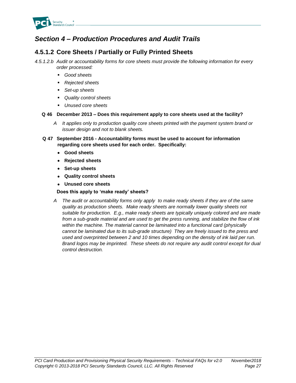

# *Section 4 – Production Procedures and Audit Trails*

# **4.5.1.2 Core Sheets / Partially or Fully Printed Sheets**

- *4.5.1.2.b Audit or accountability forms for core sheets must provide the following information for every order processed:*
	- *Good sheets*
	- *Rejected sheets*
	- Set-up sheets
	- *Quality control sheets*
	- *Unused core sheets*

#### **Q 46 December 2013 – Does this requirement apply to core sheets used at the facility?**

- *A It applies only to production quality core sheets printed with the payment system brand or issuer design and not to blank sheets.*
- **Q 47 September 2016 - Accountability forms must be used to account for information regarding core sheets used for each order. Specifically:**
	- **Good sheets**
	- **Rejected sheets**
	- **Set-up sheets**
	- **Quality control sheets**
	- **Unused core sheets**

**Does this apply to 'make ready' sheets?**

*A The audit or accountability forms only apply to make ready sheets if they are of the same quality as production sheets. Make ready sheets are normally lower quality sheets not suitable for production. E.g., make ready sheets are typically uniquely colored and are made from a sub-grade material and are used to get the press running, and stabilize the flow of ink within the machine. The material cannot be laminated into a functional card (physically cannot be laminated due to its sub-grade structure) They are freely issued to the press and used and overprinted between 2 and 10 times depending on the density of ink laid per run. Brand logos may be imprinted. These sheets do not require any audit control except for dual control destruction.*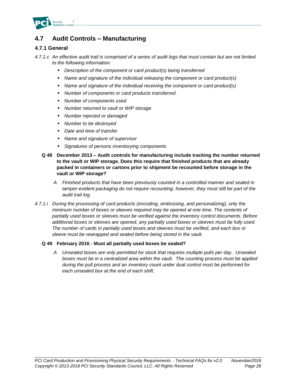

# **4.7 Audit Controls – Manufacturing**

#### **4.7.1 General**

*4.7.1.c An effective audit trail is comprised of a series of audit logs that must contain but are not limited to the following information:*

- *Description of the component or card product(s) being transferred*
- *Name and signature of the individual releasing the component or card product(s)*
- *Name and signature of the individual receiving the component or card product(s)*
- *Number of components or card products transferred*
- *Number of components used*
- *Number returned to vault or WIP storage*
- **Number rejected or damaged**
- *Number to be destroyed*
- *Date and time of transfer*
- *Name and signature of supervisor*
- *Signatures of persons inventorying components*
- **Q 48 December 2013 – Audit controls for manufacturing include tracking the number returned to the vault or WIP storage. Does this require that finished products that are already packed in containers or cartons prior to shipment be recounted before storage in the vault or WIP storage?**
	- *A Finished products that have been previously counted in a controlled manner and sealed in*  tamper-evident packaging do not require recounting; however, they must still be part of the *audit trail log.*
- *4.7.1.i During the processing of card products (encoding, embossing, and personalizing), only the minimum number of boxes or sleeves required may be opened at one time. The contents of partially used boxes or sleeves must be verified against the inventory control documents. Before additional boxes or sleeves are opened, any partially used boxes or sleeves must be fully used. The number of cards in partially used boxes and sleeves must be verified, and each box or sleeve must be rewrapped and sealed before being stored in the vault.*

#### **Q 49 February 2016 - Must all partially used boxes be sealed?**

*A Unsealed boxes are only permitted for stock that requires multiple pulls per day. Unsealed boxes must be in a centralized area within the vault. The counting process must be applied during the pull process and an inventory count under dual control must be performed for each unsealed box at the end of each shift.*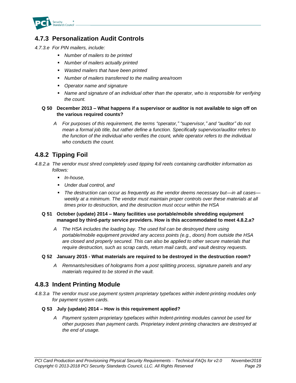

# **4.7.3 Personalization Audit Controls**

- *4.7.3.e For PIN mailers, include:*
	- *Number of mailers to be printed*
	- *Number of mailers actually printed*
	- *Wasted mailers that have been printed*
	- *Number of mailers transferred to the mailing area/room*
	- *Operator name and signature*
	- **EXED Than** *name and signature of an individual other than the operator, who is responsible for verifying the count.*

#### **Q 50 December 2013 – What happens if a supervisor or auditor is not available to sign off on the various required counts?**

*A For purposes of this requirement, the terms "operator," "supervisor," and "auditor" do not mean a formal job title, but rather define a function. Specifically supervisor/auditor refers to the function of the individual who verifies the count, while operator refers to the individual who conducts the count.*

# **4.8.2 Tipping Foil**

- *4.8.2.a The vendor must shred completely used tipping foil reels containing cardholder information as follows:*
	- *In-house,*
	- *Under dual control, and*
	- *The destruction can occur as frequently as the vendor deems necessary but—in all cases weekly at a minimum. The vendor must maintain proper controls over these materials at all times prior to destruction, and the destruction must occur within the HSA*

#### **Q 51 October (update) 2014 – Many facilities use portable/mobile shredding equipment managed by third-party service providers. How is this accommodated to meet 4.8.2.a?**

*A The HSA includes the loading bay. The used foil can be destroyed there using portable/mobile equipment provided any access points (e.g., doors) from outside the HSA are closed and properly secured. This can also be applied to other secure materials that require destruction, such as scrap cards, return mail cards, and vault destroy requests.*

#### **Q 52 January 2015 - What materials are required to be destroyed in the destruction room?**

*A Remnants/residues of holograms from a post splitting process, signature panels and any materials required to be stored in the vault.*

### **4.8.3 Indent Printing Module**

*4.8.3.a The vendor must use payment system proprietary typefaces within indent-printing modules only for payment system cards.*

#### **Q 53 July (update) 2014 – How is this requirement applied?**

*A Payment system proprietary typefaces within Indent-printing modules cannot be used for other purposes than payment cards. Proprietary indent printing characters are destroyed at the end of usage.*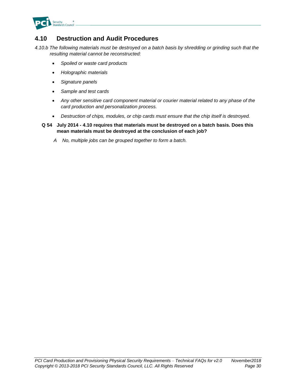

# **4.10 Destruction and Audit Procedures**

*4.10.b The following materials must be destroyed on a batch basis by shredding or grinding such that the resulting material cannot be reconstructed:*

- *Spoiled or waste card products*
- *Holographic materials*
- *Signature panels*
- *Sample and test cards*
- *Any other sensitive card component material or courier material related to any phase of the card production and personalization process.*
- *Destruction of chips, modules, or chip cards must ensure that the chip itself is destroyed.*
- **Q 54 July 2014 - 4.10 requires that materials must be destroyed on a batch basis. Does this mean materials must be destroyed at the conclusion of each job?**
	- *A No, multiple jobs can be grouped together to form a batch.*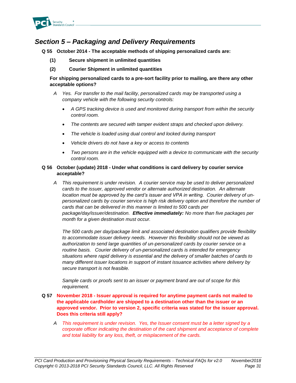

# *Section 5 – Packaging and Delivery Requirements*

**Q 55 October 2014 - The acceptable methods of shipping personalized cards are:**

- **(1) Secure shipment in unlimited quantities**
- **(2) Courier Shipment in unlimited quantities**

**For shipping personalized cards to a pre-sort facility prior to mailing, are there any other acceptable options?**

- *A Yes. For transfer to the mail facility, personalized cards may be transported using a company vehicle with the following security controls:*
	- *A GPS tracking device is used and monitored during transport from within the security control room.*
	- *The contents are secured with tamper evident straps and checked upon delivery.*
	- *The vehicle is loaded using dual control and locked during transport*
	- *Vehicle drivers do not have a key or access to contents*
	- *Two persons are in the vehicle equipped with a device to communicate with the security control room.*

#### **Q 56 October (update) 2018 - Under what conditions is card delivery by courier service acceptable?**

*A This requirement is under revision. A courier service may be used to deliver personalized cards to the issuer, approved vendor or alternate authorized destination. An alternate location must be approved by the card's issuer and VPA in writing. Courier delivery of unpersonalized cards by courier service is high risk delivery option and therefore the number of cards that can be delivered in this manner is limited to 500 cards per package/day/issuer/destination. Effective immediately: No more than five packages per month for a given destination must occur.*

*The 500 cards per day/package limit and associated destination qualifiers provide flexibility to accommodate issuer delivery needs. However this flexibility should not be viewed as authorization to send large quantities of un-personalized cards by courier service on a routine basis. Courier delivery of un-personalized cards is intended for emergency situations where rapid delivery is essential and the delivery of smaller batches of cards to many different issuer locations in support of instant issuance activities where delivery by secure transport is not feasible.* 

*Sample cards or proofs sent to an issuer or payment brand are out of scope for this requirement.*

- **Q 57 November 2018 - Issuer approval is required for anytime payment cards not mailed to the applicable cardholder are shipped to a destination other than the issuer or an approved vendor. Prior to version 2, specific criteria was stated for the issuer approval. Does this criteria still apply?**
	- *A This requirement is under revision. Yes, the Issuer consent must be a letter signed by a corporate officer indicating the destination of the card shipment and acceptance of complete and total liability for any loss, theft, or misplacement of the cards.*